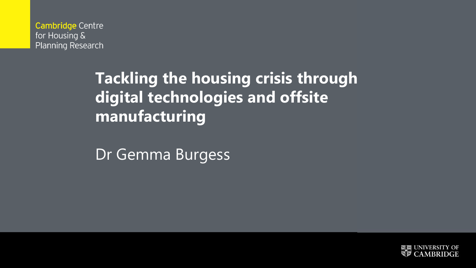**Cambridge Centre** for Housing & Planning Research

# **Tackling the housing crisis through digital technologies and offsite manufacturing**

Dr Gemma Burgess

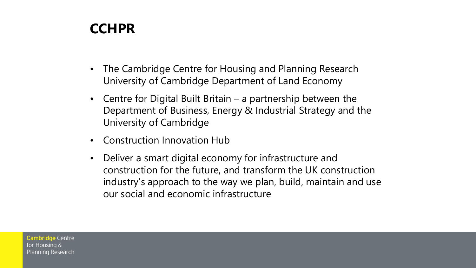#### **CCHPR**

- The Cambridge Centre for Housing and Planning Research University of Cambridge Department of Land Economy
- Centre for Digital Built Britain a partnership between the Department of Business, Energy & Industrial Strategy and the University of Cambridge
- Construction Innovation Hub
- Deliver a smart digital economy for infrastructure and construction for the future, and transform the UK construction industry's approach to the way we plan, build, maintain and use our social and economic infrastructure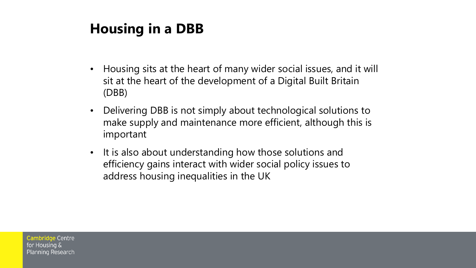## **Housing in a DBB**

- Housing sits at the heart of many wider social issues, and it will sit at the heart of the development of a Digital Built Britain (DBB)
- Delivering DBB is not simply about technological solutions to make supply and maintenance more efficient, although this is important
- It is also about understanding how those solutions and efficiency gains interact with wider social policy issues to address housing inequalities in the UK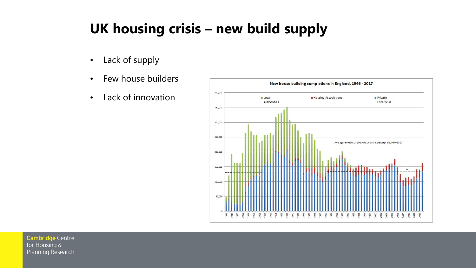## **UK housing crisis – new build supply**

- Lack of supply
- Few house builders
- Lack of innovation

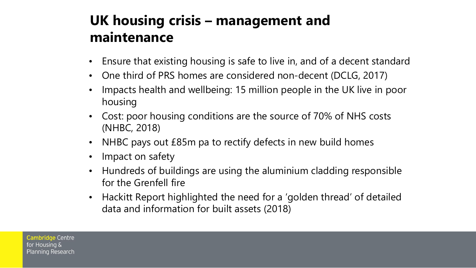## **UK housing crisis – management and maintenance**

- Ensure that existing housing is safe to live in, and of a decent standard
- One third of PRS homes are considered non-decent (DCLG, 2017)
- Impacts health and wellbeing: 15 million people in the UK live in poor housing
- Cost: poor housing conditions are the source of 70% of NHS costs (NHBC, 2018)
- NHBC pays out £85m pa to rectify defects in new build homes
- Impact on safety
- Hundreds of buildings are using the aluminium cladding responsible for the Grenfell fire
- Hackitt Report highlighted the need for a 'golden thread' of detailed data and information for built assets (2018)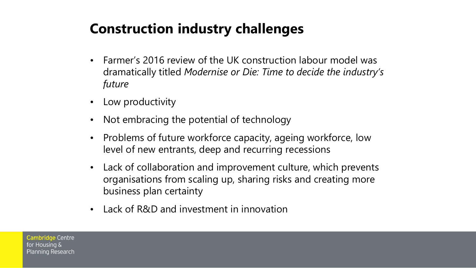## **Construction industry challenges**

- Farmer's 2016 review of the UK construction labour model was dramatically titled *Modernise or Die: Time to decide the industry's future*
- Low productivity
- Not embracing the potential of technology
- Problems of future workforce capacity, ageing workforce, low level of new entrants, deep and recurring recessions
- Lack of collaboration and improvement culture, which prevents organisations from scaling up, sharing risks and creating more business plan certainty
- Lack of R&D and investment in innovation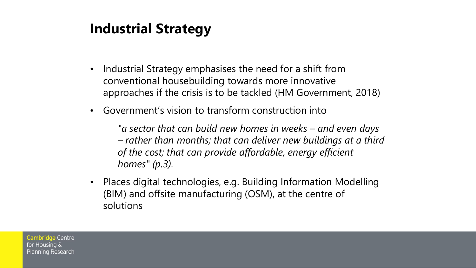## **Industrial Strategy**

- Industrial Strategy emphasises the need for a shift from conventional housebuilding towards more innovative approaches if the crisis is to be tackled (HM Government, 2018)
- Government's vision to transform construction into

*"a sector that can build new homes in weeks – and even days – rather than months; that can deliver new buildings at a third of the cost; that can provide affordable, energy efficient homes" (p.3).* 

• Places digital technologies, e.g. Building Information Modelling (BIM) and offsite manufacturing (OSM), at the centre of solutions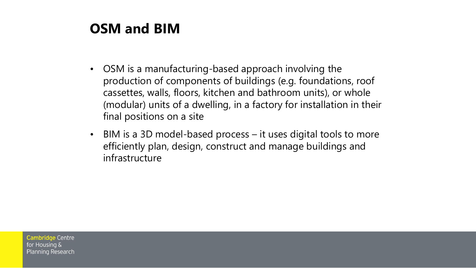#### **OSM and BIM**

- OSM is a manufacturing-based approach involving the production of components of buildings (e.g. foundations, roof cassettes, walls, floors, kitchen and bathroom units), or whole (modular) units of a dwelling, in a factory for installation in their final positions on a site
- BIM is a 3D model-based process it uses digital tools to more efficiently plan, design, construct and manage buildings and infrastructure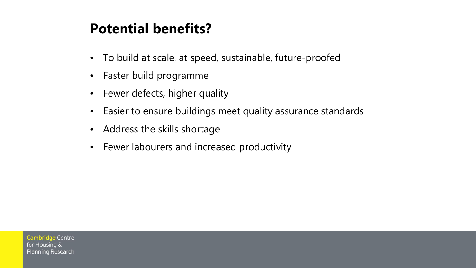#### **Potential benefits?**

- To build at scale, at speed, sustainable, future-proofed
- Faster build programme
- Fewer defects, higher quality
- Easier to ensure buildings meet quality assurance standards
- Address the skills shortage
- Fewer labourers and increased productivity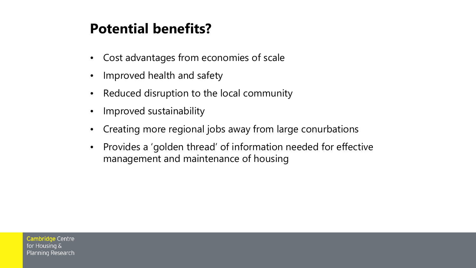#### **Potential benefits?**

- Cost advantages from economies of scale
- Improved health and safety
- Reduced disruption to the local community
- Improved sustainability
- Creating more regional jobs away from large conurbations
- Provides a 'golden thread' of information needed for effective management and maintenance of housing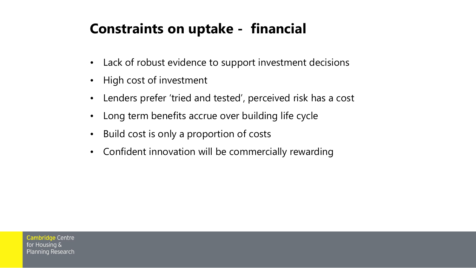## **Constraints on uptake - financial**

- Lack of robust evidence to support investment decisions
- High cost of investment
- Lenders prefer 'tried and tested', perceived risk has a cost
- Long term benefits accrue over building life cycle
- Build cost is only a proportion of costs
- Confident innovation will be commercially rewarding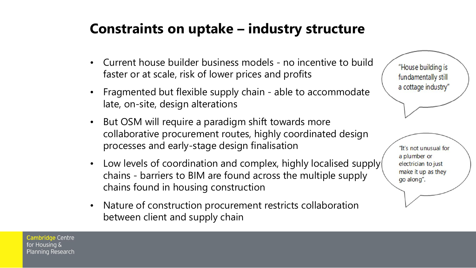#### **Constraints on uptake – industry structure**

- Current house builder business models no incentive to build faster or at scale, risk of lower prices and profits
- Fragmented but flexible supply chain able to accommodate late, on-site, design alterations
- But OSM will require a paradigm shift towards more collaborative procurement routes, highly coordinated design processes and early-stage design finalisation
- Low levels of coordination and complex, highly localised supply chains - barriers to BIM are found across the multiple supply chains found in housing construction
- Nature of construction procurement restricts collaboration between client and supply chain

"House building is fundamentally still a cottage industry"

"It's not unusual for a plumber or electrician to just make it up as they go along".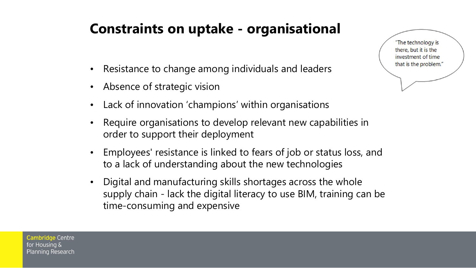## **Constraints on uptake - organisational**

- Resistance to change among individuals and leaders
- Absence of strategic vision
- Lack of innovation 'champions' within organisations
- Require organisations to develop relevant new capabilities in order to support their deployment
- Employees' resistance is linked to fears of job or status loss, and to a lack of understanding about the new technologies
- Digital and manufacturing skills shortages across the whole supply chain - lack the digital literacy to use BIM, training can be time-consuming and expensive

"The technology is there, but it is the investment of time that is the problem."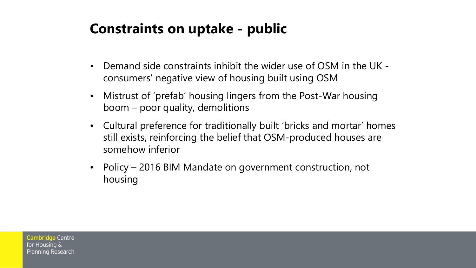#### **Constraints on uptake - public**

- Demand side constraints inhibit the wider use of OSM in the UK consumers' negative view of housing built using OSM
- Mistrust of 'prefab' housing lingers from the Post-War housing boom – poor quality, demolitions
- Cultural preference for traditionally built 'bricks and mortar' homes still exists, reinforcing the belief that OSM-produced houses are somehow inferior
- Policy 2016 BIM Mandate on government construction, not housing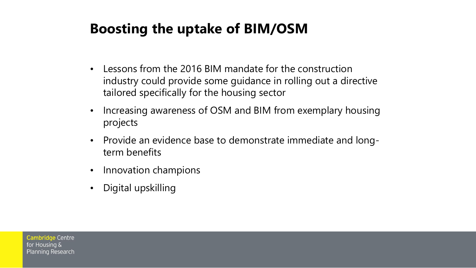## **Boosting the uptake of BIM/OSM**

- Lessons from the 2016 BIM mandate for the construction industry could provide some guidance in rolling out a directive tailored specifically for the housing sector
- Increasing awareness of OSM and BIM from exemplary housing projects
- Provide an evidence base to demonstrate immediate and longterm benefits
- Innovation champions
- Digital upskilling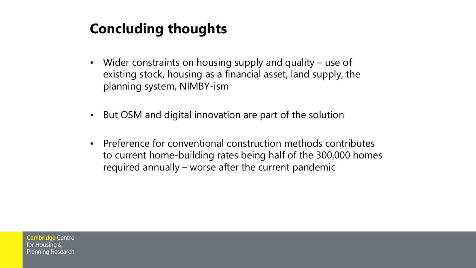## **Concluding thoughts**

- Wider constraints on housing supply and quality use of existing stock, housing as a financial asset, land supply, the planning system, NIMBY-ism
- But OSM and digital innovation are part of the solution
- Preference for conventional construction methods contributes to current home-building rates being half of the 300,000 homes required annually – worse after the current pandemic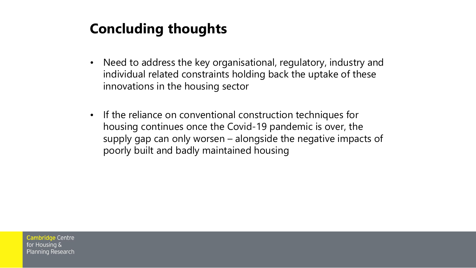## **Concluding thoughts**

- Need to address the key organisational, regulatory, industry and individual related constraints holding back the uptake of these innovations in the housing sector
- If the reliance on conventional construction techniques for housing continues once the Covid-19 pandemic is over, the supply gap can only worsen – alongside the negative impacts of poorly built and badly maintained housing